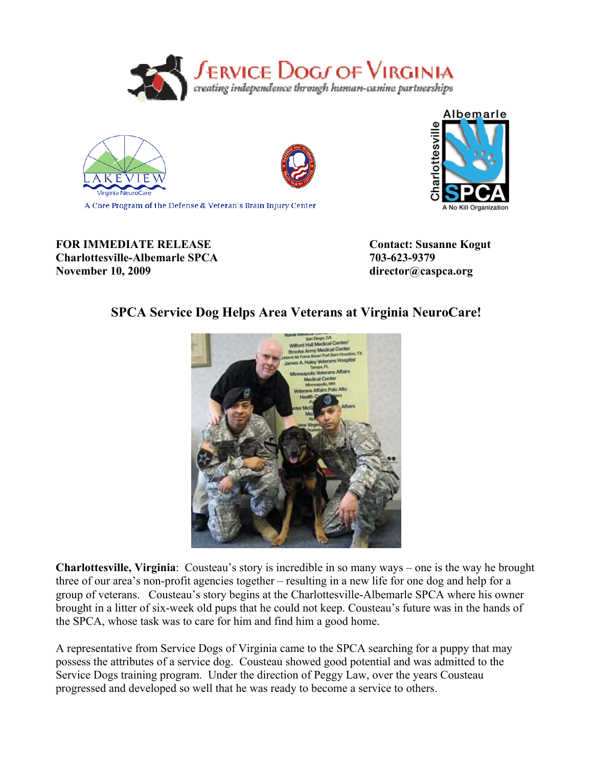





Albemarle ivestrian A No Kill Organization

**FOR IMMEDIATE RELEASE Contact: Susanne Kogut** 

**Charlottesville-Albemarle SPCA 703-623-9379 November 10, 2009 director@caspca.org**

## **SPCA Service Dog Helps Area Veterans at Virginia NeuroCare!**



**Charlottesville, Virginia**: Cousteau's story is incredible in so many ways – one is the way he brought three of our area's non-profit agencies together – resulting in a new life for one dog and help for a group of veterans. Cousteau's story begins at the Charlottesville-Albemarle SPCA where his owner brought in a litter of six-week old pups that he could not keep. Cousteau's future was in the hands of the SPCA, whose task was to care for him and find him a good home.

A representative from Service Dogs of Virginia came to the SPCA searching for a puppy that may possess the attributes of a service dog. Cousteau showed good potential and was admitted to the Service Dogs training program. Under the direction of Peggy Law, over the years Cousteau progressed and developed so well that he was ready to become a service to others.